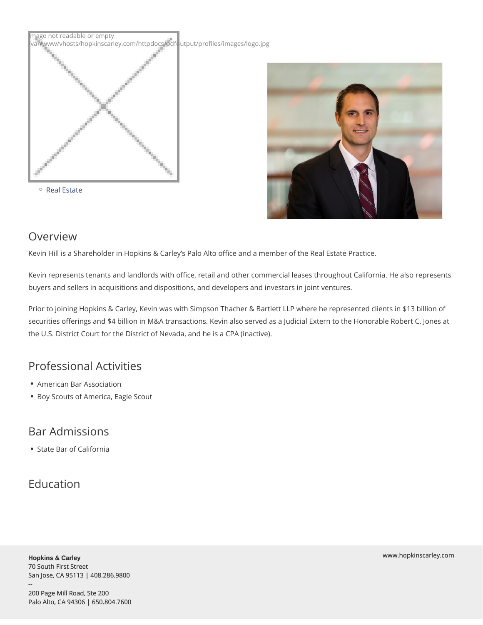# Kevin Hill

#### Shareholder

khill@hopkinscarley.com Phone: 650.804.7627

- [Services](//services)
	- [Constructio](//services/construction-law)n Law
	- [Real Es](//services/real-estate)tate



## Overview

Kevin Hill is a Shareholder in Hopkins & Carley s Palo Alto office and a member of the Re

Kevin represents tenants and landlords with office, retail and other commercial leases th buyers and sellers in acquisitions and dispositions, and developers and investors in joint

Prior to joining Hopkins & Carley, Kevin was with Simpson Thacher & Bartlett LLP where securities offerings and \$4 billion in M&A transactions. Kevin also served as a Judicial E the U.S. District Court for the District of Nevada, and he is a CPA (inactive).

## Professional Activities

- American Bar Association
- Boy Scouts of America, Eagle Scout

## Bar Admissions

State Bar of California

## Education

Hopkins & Carley 70 South First Street San Jose, CA 95113 | 408.286.9800 -- 200 Page Mill Road, Ste 200 Palo Alto, CA 94306 | 650.804.7600